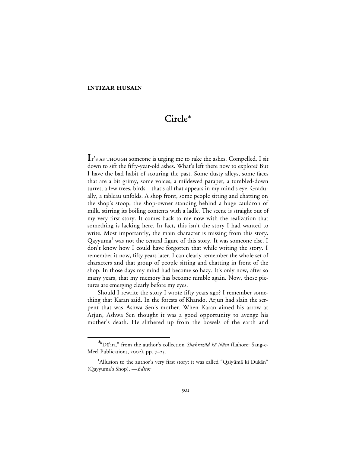# **Circle**<sup>∗</sup>

I<sup>T</sup>'s AS THOUGH someone is urging me to rake the ashes. Compelled, I sit down to sift the fifty-year-old ashes. What's left there now to explore? But I have the bad habit of scouring the past. Some dusty alleys, some faces that are a bit grimy, some voices, a mildewed parapet, a tumbled-down turret, a few trees, birds—that's all that appears in my mind's eye. Gradually, a tableau unfolds. A shop front, some people sitting and chatting on the shop's stoop, the shop-owner standing behind a huge cauldron of milk, stirring its boiling contents with a ladle. The scene is straight out of my very first story. It comes back to me now with the realization that something is lacking here. In fact, this isn't the story I had wanted to write. Most importantly, the main character is missing from this story.  $Q$ ayyuma<sup>1</sup> was not the central figure of this story. It was someone else. I don't know how I could have forgotten that while writing the story. I remember it now, fifty years later. I can clearly remember the whole set of characters and that group of people sitting and chatting in front of the shop. In those days my mind had become so hazy. It's only now, after so many years, that my memory has become nimble again. Now, those pictures are emerging clearly before my eyes.

Should I rewrite the story I wrote fifty years ago? I remember something that Karan said. In the forests of Khando, Arjun had slain the serpent that was Ashwa Sen's mother. When Karan aimed his arrow at Arjun, Ashwa Sen thought it was a good opportunity to avenge his mother's death. He slithered up from the bowels of the earth and

<sup>∗</sup> \*"Dā'ira," from the author's collection Shahrazād kē Nām (Lahore: Sang-e-Meel Publications, 2002), pp. 7-25.

<sup>&</sup>lt;sup>1</sup>Allusion to the author's very first story; it was called "Qaiyūmā kī Dukān" (Qayyuma's Shop). —*Editor*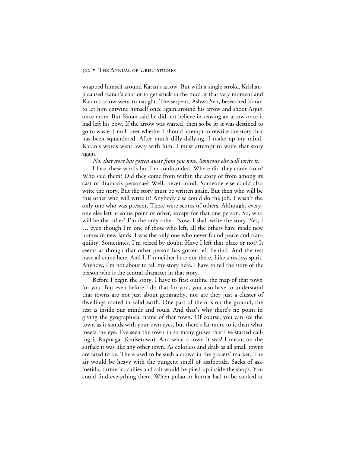wrapped himself around Karan's arrow. But with a single stroke, Krishanji caused Karan's chariot to get stuck in the mud at that very moment and Karan's arrow went to naught. The serpent, Ashwa Sen, beseeched Karan to let him entwine himself once again around his arrow and shoot Arjun once more. But Karan said he did not believe in reusing an arrow once it had left his bow. If the arrow was wasted, then so be it; it was destined to go to waste. I mull over whether I should attempt to rewrite the story that has been squandered. After much dilly-dallying, I make up my mind. Karan's words went away with him. I must attempt to write that story again.

*No, that story has gotten away from you now. Someone else will write it.*

I hear these words but I'm confounded. Where did they come from? Who said them? Did they come from within the story or from among its cast of dramatis personae? Well, never mind. Someone else could also write the story. But the story must be written again. But then who will be this other who will write it? Anybody else could do the job. I wasn't the only one who was present. There were scores of others. Although, everyone else left at some point or other, except for that one person. So, who will be the other? I'm the only other. Now, I shall write the story. Yes, I … even though I'm one of those who left, all the others have made new homes in new lands. I was the only one who never found peace and tranquility. Sometimes, I'm seized by doubt. Have I left that place or not? It seems as though that other person has gotten left behind. And the rest have all come here. And I, I'm neither here nor there. Like a restless spirit. Anyhow, I'm not about to tell my story here. I have to tell the story of the person who is the central character in that story.

Before I begin the story, I have to first outline the map of that town for you. But even before I do that for you, you also have to understand that towns are not just about geography, nor are they just a cluster of dwellings rooted in solid earth. One part of them is on the ground, the rest is inside our minds and souls. And that's why there's no point in giving the geographical name of that town. Of course, you can see the town as it stands with your own eyes, but there's far more to it than what meets the eye. I've seen the town in so many guises that I've started calling it Rupnagar (Guisetown). And what a town it was! I mean, on the surface it was like any other town. As colorless and drab as all small towns are fated to be. There used to be such a crowd in the grocers' market. The air would be heavy with the pungent smell of asafoetida. Sacks of asafoetida, turmeric, chilies and salt would be piled up inside the shops. You could find everything there. When pulao or korma had to be cooked at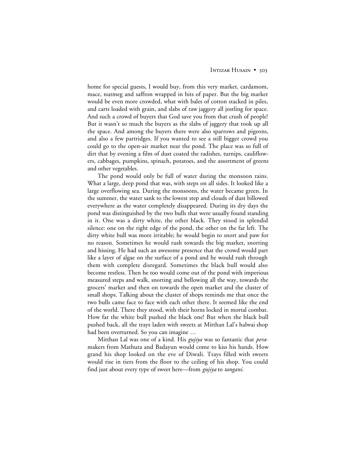home for special guests, I would buy, from this very market, cardamom, mace, nutmeg and saffron wrapped in bits of paper. But the big market would be even more crowded, what with bales of cotton stacked in piles, and carts loaded with grain, and slabs of raw jaggery all jostling for space. And such a crowd of buyers that God save you from that crush of people! But it wasn't so much the buyers as the slabs of jaggery that took up all the space. And among the buyers there were also sparrows and pigeons, and also a few partridges. If you wanted to see a still bigger crowd you could go to the open-air market near the pond. The place was so full of dirt that by evening a film of dust coated the radishes, turnips, cauliflowers, cabbages, pumpkins, spinach, potatoes, and the assortment of greens and other vegetables.

The pond would only be full of water during the monsoon rains. What a large, deep pond that was, with steps on all sides. It looked like a large overflowing sea. During the monsoons, the water became green. In the summer, the water sank to the lowest step and clouds of dust billowed everywhere as the water completely disappeared. During its dry days the pond was distinguished by the two bulls that were usually found standing in it. One was a dirty white, the other black. They stood in splendid silence: one on the right edge of the pond, the other on the far left. The dirty white bull was more irritable; he would begin to snort and paw for no reason. Sometimes he would rush towards the big market, snorting and hissing. He had such an awesome presence that the crowd would part like a layer of algae on the surface of a pond and he would rush through them with complete disregard. Sometimes the black bull would also become restless. Then he too would come out of the pond with imperious measured steps and walk, snorting and bellowing all the way, towards the grocers' market and then on towards the open market and the cluster of small shops. Talking about the cluster of shops reminds me that once the two bulls came face to face with each other there. It seemed like the end of the world. There they stood, with their horns locked in mortal combat. How far the white bull pushed the black one! But when the black bull pushed back, all the trays laden with sweets at Mitthan Lal's halwai shop had been overturned. So you can imagine …

Mitthan Lal was one of a kind. His *gujiya* was so fantastic that *pera*makers from Mathura and Badayun would come to kiss his hands. How grand his shop looked on the eve of Diwali. Trays filled with sweets would rise in tiers from the floor to the ceiling of his shop. You could find just about every type of sweet here—from *gujiya* to *tangani.*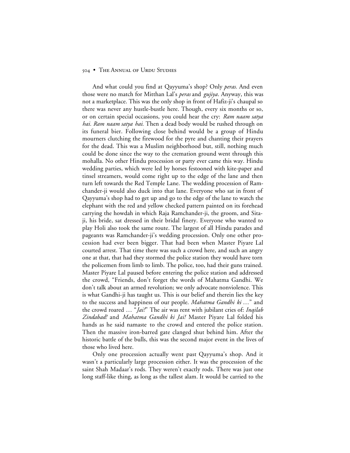And what could you find at Qayyuma's shop? Only *peras.* And even those were no match for Mitthan Lal's *peras* and *gujiya*. Anyway, this was not a marketplace. This was the only shop in front of Hafiz-ji's chaupal so there was never any hustle-bustle here. Though, every six months or so, or on certain special occasions, you could hear the cry: *Ram naam satya hai. Ram naam satya hai.* Then a dead body would be rushed through on its funeral bier. Following close behind would be a group of Hindu mourners clutching the firewood for the pyre and chanting their prayers for the dead. This was a Muslim neighborhood but, still, nothing much could be done since the way to the cremation ground went through this mohalla. No other Hindu procession or party ever came this way. Hindu wedding parties, which were led by horses festooned with kite-paper and tinsel streamers, would come right up to the edge of the lane and then turn left towards the Red Temple Lane. The wedding procession of Ramchander-ji would also duck into that lane. Everyone who sat in front of Qayyuma's shop had to get up and go to the edge of the lane to watch the elephant with the red and yellow checked pattern painted on its forehead carrying the howdah in which Raja Ramchander-ji, the groom, and Sitaji, his bride, sat dressed in their bridal finery. Everyone who wanted to play Holi also took the same route. The largest of all Hindu parades and pageants was Ramchander-ji's wedding procession. Only one other procession had ever been bigger. That had been when Master Piyare Lal courted arrest. That time there was such a crowd here, and such an angry one at that, that had they stormed the police station they would have torn the policemen from limb to limb. The police, too, had their guns trained. Master Piyare Lal paused before entering the police station and addressed the crowd, "Friends, don't forget the words of Mahatma Gandhi. We don't talk about an armed revolution; we only advocate nonviolence. This is what Gandhi-ji has taught us. This is our belief and therein lies the key to the success and happiness of our people. *Mahatma Gandhi ki* …" and the crowd roared … "*Jai!*" The air was rent with jubilant cries of: *Inqilab Zindabad!* and *Mahatma Gandhi ki Jai!* Master Piyare Lal folded his hands as he said namaste to the crowd and entered the police station. Then the massive iron-barred gate clanged shut behind him. After the historic battle of the bulls, this was the second major event in the lives of those who lived here.

Only one procession actually went past Qayyuma's shop. And it wasn't a particularly large procession either. It was the procession of the saint Shah Madaar's rods. They weren't exactly rods. There was just one long staff-like thing, as long as the tallest alam*.* It would be carried to the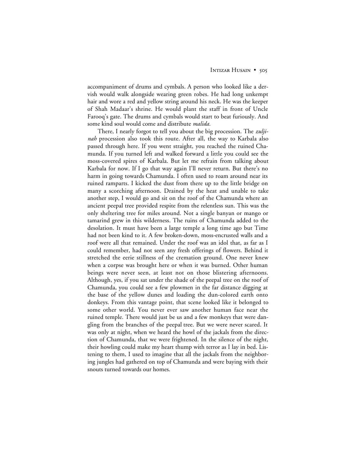accompaniment of drums and cymbals. A person who looked like a dervish would walk alongside wearing green robes. He had long unkempt hair and wore a red and yellow string around his neck. He was the keeper of Shah Madaar's shrine. He would plant the staff in front of Uncle Farooq's gate. The drums and cymbals would start to beat furiously. And some kind soul would come and distribute *malida*.

There, I nearly forgot to tell you about the big procession. The *zuljinah* procession also took this route. After all, the way to Karbala also passed through here. If you went straight, you reached the ruined Chamunda. If you turned left and walked forward a little you could see the moss-covered spires of Karbala. But let me refrain from talking about Karbala for now. If I go that way again I'll never return. But there's no harm in going towards Chamunda. I often used to roam around near its ruined ramparts. I kicked the dust from there up to the little bridge on many a scorching afternoon. Drained by the heat and unable to take another step, I would go and sit on the roof of the Chamunda where an ancient peepal tree provided respite from the relentless sun. This was the only sheltering tree for miles around. Not a single banyan or mango or tamarind grew in this wilderness. The ruins of Chamunda added to the desolation. It must have been a large temple a long time ago but Time had not been kind to it. A few broken-down, moss-encrusted walls and a roof were all that remained. Under the roof was an idol that, as far as I could remember, had not seen any fresh offerings of flowers. Behind it stretched the eerie stillness of the cremation ground. One never knew when a corpse was brought here or when it was burned. Other human beings were never seen, at least not on those blistering afternoons. Although, yes, if you sat under the shade of the peepal tree on the roof of Chamunda, you could see a few plowmen in the far distance digging at the base of the yellow dunes and loading the dun-colored earth onto donkeys. From this vantage point, that scene looked like it belonged to some other world. You never ever saw another human face near the ruined temple. There would just be us and a few monkeys that were dangling from the branches of the peepal tree. But we were never scared. It was only at night, when we heard the howl of the jackals from the direction of Chamunda, that we were frightened. In the silence of the night, their howling could make my heart thump with terror as I lay in bed. Listening to them, I used to imagine that all the jackals from the neighboring jungles had gathered on top of Chamunda and were baying with their snouts turned towards our homes.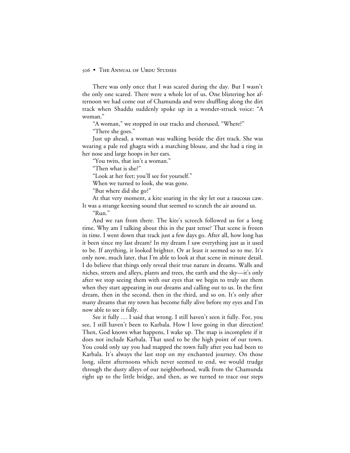There was only once that I was scared during the day. But I wasn't the only one scared. There were a whole lot of us. One blistering hot afternoon we had come out of Chamunda and were shuffling along the dirt track when Shaddu suddenly spoke up in a wonder-struck voice: "A woman."

"A woman," we stopped in our tracks and chorused, "Where?"

"There she goes."

Just up ahead, a woman was walking beside the dirt track. She was wearing a pale red ghagra with a matching blouse, and she had a ring in her nose and large hoops in her ears.

"You twits, that isn't a woman."

"Then what is she?"

"Look at her feet; you'll see for yourself."

When we turned to look, she was gone.

"But where did she go?"

At that very moment, a kite soaring in the sky let out a raucous caw. It was a strange keening sound that seemed to scratch the air around us.

"Run."

And we ran from there. The kite's screech followed us for a long time. Why am I talking about this in the past tense? That scene is frozen in time. I went down that track just a few days go. After all, how long has it been since my last dream? In my dream I saw everything just as it used to be. If anything, it looked brighter. Or at least it seemed so to me. It's only now, much later, that I'm able to look at that scene in minute detail. I do believe that things only reveal their true nature in dreams. Walls and niches, streets and alleys, plants and trees, the earth and the sky—it's only after we stop seeing them with our eyes that we begin to truly see them when they start appearing in our dreams and calling out to us. In the first dream, then in the second, then in the third, and so on. It's only after many dreams that my town has become fully alive before my eyes and I'm now able to see it fully.

See it fully … I said that wrong. I still haven't seen it fully. For, you see, I still haven't been to Karbala. How I love going in that direction! Then, God knows what happens, I wake up. The map is incomplete if it does not include Karbala. That used to be the high point of our town. You could only say you had mapped the town fully after you had been to Karbala. It's always the last stop on my enchanted journey. On those long, silent afternoons which never seemed to end, we would trudge through the dusty alleys of our neighborhood, walk from the Chamunda right up to the little bridge, and then, as we turned to trace our steps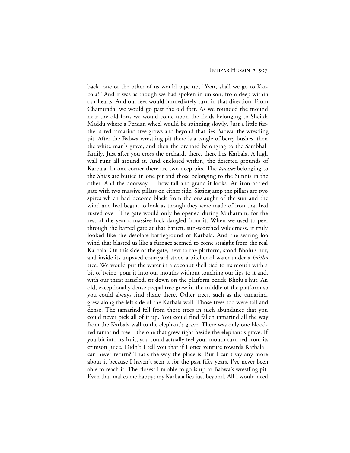back, one or the other of us would pipe up, "Yaar, shall we go to Karbala?" And it was as though we had spoken in unison, from deep within our hearts. And our feet would immediately turn in that direction. From Chamunda, we would go past the old fort. As we rounded the mound near the old fort, we would come upon the fields belonging to Sheikh Maddu where a Persian wheel would be spinning slowly. Just a little further a red tamarind tree grows and beyond that lies Babwa, the wrestling pit. After the Babwa wrestling pit there is a tangle of berry bushes, then the white man's grave, and then the orchard belonging to the Sambhali family. Just after you cross the orchard, there, there lies Karbala. A high wall runs all around it. And enclosed within, the deserted grounds of Karbala. In one corner there are two deep pits. The *taazias* belonging to the Shias are buried in one pit and those belonging to the Sunnis in the other. And the doorway … how tall and grand it looks. An iron-barred gate with two massive pillars on either side. Sitting atop the pillars are two spires which had become black from the onslaught of the sun and the wind and had begun to look as though they were made of iron that had rusted over. The gate would only be opened during Muharram; for the rest of the year a massive lock dangled from it. When we used to peer through the barred gate at that barren, sun-scorched wilderness, it truly looked like the desolate battleground of Karbala. And the searing loo wind that blasted us like a furnace seemed to come straight from the real Karbala. On this side of the gate, next to the platform, stood Bholu's hut, and inside its unpaved courtyard stood a pitcher of water under a *kaithu* tree. We would put the water in a coconut shell tied to its mouth with a bit of twine, pour it into our mouths without touching our lips to it and, with our thirst satisfied, sit down on the platform beside Bholu's hut. An old, exceptionally dense peepal tree grew in the middle of the platform so you could always find shade there. Other trees, such as the tamarind, grew along the left side of the Karbala wall. Those trees too were tall and dense. The tamarind fell from those trees in such abundance that you could never pick all of it up. You could find fallen tamarind all the way from the Karbala wall to the elephant's grave. There was only one bloodred tamarind tree—the one that grew right beside the elephant's grave. If you bit into its fruit, you could actually feel your mouth turn red from its crimson juice. Didn't I tell you that if I once venture towards Karbala I can never return? That's the way the place is. But I can't say any more about it because I haven't seen it for the past fifty years. I've never been able to reach it. The closest I'm able to go is up to Babwa's wrestling pit. Even that makes me happy; my Karbala lies just beyond. All I would need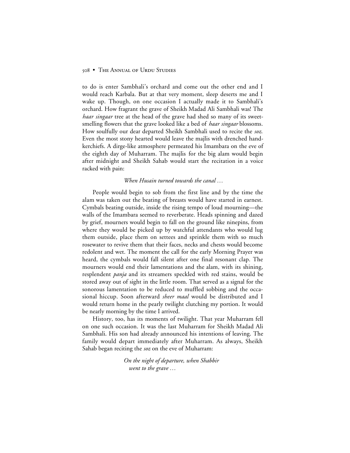to do is enter Sambhali's orchard and come out the other end and I would reach Karbala. But at that very moment, sleep deserts me and I wake up. Though, on one occasion I actually made it to Sambhali's orchard. How fragrant the grave of Sheikh Madad Ali Sambhali was! The *haar singaar* tree at the head of the grave had shed so many of its sweetsmelling flowers that the grave looked like a bed of *haar singaar* blossoms. How soulfully our dear departed Sheikh Sambhali used to recite the *soz.* Even the most stony hearted would leave the majlis with drenched handkerchiefs. A dirge-like atmosphere permeated his Imambara on the eve of the eighth day of Muharram. The majlis for the big alam would begin after midnight and Sheikh Sahab would start the recitation in a voice racked with pain:

# *When Husain turned towards the canal …*

People would begin to sob from the first line and by the time the alam was taken out the beating of breasts would have started in earnest. Cymbals beating outside, inside the rising tempo of loud mourning—the walls of the Imambara seemed to reverberate. Heads spinning and dazed by grief, mourners would begin to fall on the ground like ninepins, from where they would be picked up by watchful attendants who would lug them outside, place them on settees and sprinkle them with so much rosewater to revive them that their faces, necks and chests would become redolent and wet. The moment the call for the early Morning Prayer was heard, the cymbals would fall silent after one final resonant clap. The mourners would end their lamentations and the alam*,* with its shining, resplendent *panja* and its streamers speckled with red stains, would be stored away out of sight in the little room. That served as a signal for the sonorous lamentation to be reduced to muffled sobbing and the occasional hiccup. Soon afterward *sheer maal* would be distributed and I would return home in the pearly twilight clutching my portion. It would be nearly morning by the time I arrived.

History, too, has its moments of twilight. That year Muharram fell on one such occasion. It was the last Muharram for Sheikh Madad Ali Sambhali. His son had already announced his intentions of leaving. The family would depart immediately after Muharram. As always, Sheikh Sahab began reciting the *soz* on the eve of Muharram:

> *On the night of departure, when Shabbir went to the grave …*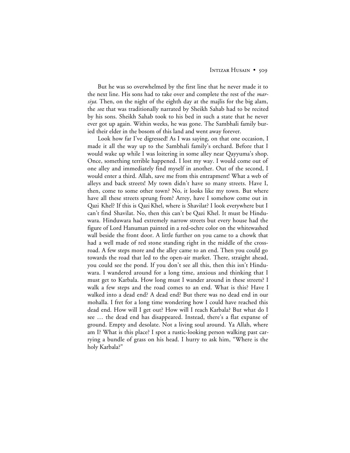But he was so overwhelmed by the first line that he never made it to the next line. His sons had to take over and complete the rest of the *marsiya*. Then, on the night of the eighth day at the majlis for the big alam, the *soz* that was traditionally narrated by Sheikh Sahab had to be recited by his sons. Sheikh Sahab took to his bed in such a state that he never ever got up again. Within weeks, he was gone. The Sambhali family buried their elder in the bosom of this land and went away forever.

Look how far I've digressed! As I was saying, on that one occasion, I made it all the way up to the Sambhali family's orchard. Before that I would wake up while I was loitering in some alley near Qayyuma's shop. Once, something terrible happened. I lost my way. I would come out of one alley and immediately find myself in another. Out of the second, I would enter a third. Allah, save me from this entrapment! What a web of alleys and back streets! My town didn't have so many streets. Have I, then, come to some other town? No, it looks like my town. But where have all these streets sprung from? Arrey, have I somehow come out in Qazi Khel? If this is Qazi Khel, where is Shavilat? I look everywhere but I can't find Shavilat. No, then this can't be Qazi Khel. It must be Hinduwara. Hinduwara had extremely narrow streets but every house had the figure of Lord Hanuman painted in a red-ochre color on the whitewashed wall beside the front door. A little further on you came to a chowk that had a well made of red stone standing right in the middle of the crossroad. A few steps more and the alley came to an end. Then you could go towards the road that led to the open-air market. There, straight ahead, you could see the pond. If you don't see all this, then this isn't Hinduwara. I wandered around for a long time, anxious and thinking that I must get to Karbala. How long must I wander around in these streets? I walk a few steps and the road comes to an end. What is this? Have I walked into a dead end? A dead end? But there was no dead end in our mohalla. I fret for a long time wondering how I could have reached this dead end. How will I get out? How will I reach Karbala? But what do I see … the dead end has disappeared. Instead, there's a flat expanse of ground. Empty and desolate. Not a living soul around. Ya Allah, where am I? What is this place? I spot a rustic-looking person walking past carrying a bundle of grass on his head. I hurry to ask him, "Where is the holy Karbala?"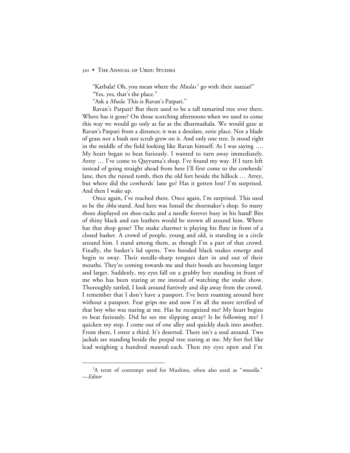"Karbala? Oh, you mean where the *Muslas*<sup>2</sup> go with their *taazias*?" "Yes, yes, that's the place."

"Ask a *Musla.* This is Ravan's Patpari."

Ravan's Patpari? But there used to be a tall tamarind tree over there. Where has it gone? On those scorching afternoons when we used to come this way we would go only as far as the dharmashala*.* We would gaze at Ravan's Patpari from a distance; it was a desolate, eerie place. Not a blade of grass nor a bush nor scrub grew on it. And only one tree. It stood right in the middle of the field looking like Ravan himself. As I was saying …. My heart began to beat furiously. I wanted to turn away immediately. Arrey … I've come to Qayyuma's shop. I've found my way. If I turn left instead of going straight ahead from here I'll first come to the cowherds' lane, then the ruined tomb, then the old fort beside the hillock … Arrey, but where did the cowherds' lane go? Has it gotten lost? I'm surprised. And then I wake up.

Once again, I've reached there. Once again, I'm surprised. This used to be the *ikka* stand. And here was Ismail the shoemaker's shop. So many shoes displayed on shoe-racks and a needle forever busy in his hand! Bits of shiny black and tan leathers would be strewn all around him. Where has that shop gone? The snake charmer is playing his flute in front of a closed basket. A crowd of people, young and old, is standing in a circle around him. I stand among them, as though I'm a part of that crowd. Finally, the basket's lid opens. Two hooded black snakes emerge and begin to sway. Their needle-sharp tongues dart in and out of their mouths. They're coming towards me and their hoods are becoming larger and larger. Suddenly, my eyes fall on a grubby boy standing in front of me who has been staring at me instead of watching the snake show. Thoroughly rattled, I look around furtively and slip away from the crowd. I remember that I don't have a passport. I've been roaming around here without a passport. Fear grips me and now I'm all the more terrified of that boy who was staring at me. Has he recognized me? My heart begins to beat furiously. Did he see me slipping away? Is he following me? I quicken my step. I come out of one alley and quickly duck into another. From there, I enter a third. It's deserted. There isn't a soul around. Two jackals are standing beside the peepal tree staring at me. My feet feel like lead weighing a hundred *maunds* each. Then my eyes open and I'm

 <sup>2</sup> A term of contempt used for Muslims, often also used as "*musalla*." —*Editor*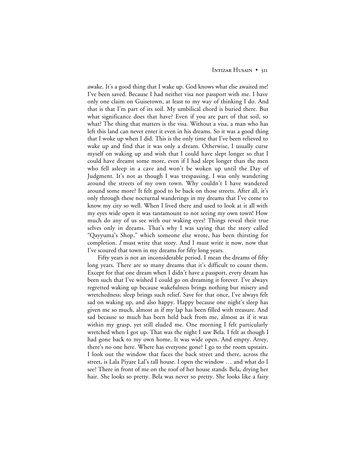awake. It's a good thing that I wake up. God knows what else awaited me! I've been saved. Because I had neither visa nor passport with me. I have only one claim on Guisetown, at least to my way of thinking I do. And that is that I'm part of its soil. My umbilical chord is buried there. But what significance does that have? Even if you are part of that soil, so what? The thing that matters is the visa. Without a visa, a man who has left this land can never enter it even in his dreams. So it was a good thing that I woke up when I did. This is the only time that I've been relieved to wake up and find that it was only a dream. Otherwise, I usually curse myself on waking up and wish that I could have slept longer so that I could have dreamt some more, even if I had slept longer than the men who fell asleep in a cave and won't be woken up until the Day of Judgment. It's not as though I was trespassing. I was only wandering around the streets of my own town. Why couldn't I have wandered around some more? It felt good to be back on those streets. After all, it's only through these nocturnal wanderings in my dreams that I've come to know my city so well. When I lived there and used to look at it all with my eyes wide open it was tantamount to not seeing my own town! How much do any of us see with our waking eyes? Things reveal their true selves only in dreams. That's why I was saying that the story called "Qayyuma's Shop," which someone else wrote, has been thirsting for completion. *I* must write that story. And I must write it now, now that I've scoured that town in my dreams for fifty long years.

Fifty years is not an inconsiderable period. I mean the dreams of fifty long years. There are so many dreams that it's difficult to count them. Except for that one dream when I didn't have a passport, every dream has been such that I've wished I could go on dreaming it forever. I've always regretted waking up because wakefulness brings nothing but misery and wretchedness; sleep brings such relief. Save for that once, I've always felt sad on waking up, and also happy. Happy because one night's sleep has given me so much, almost as if my lap has been filled with treasure. And sad because so much has been held back from me, almost as if it was within my grasp, yet still eluded me. One morning I felt particularly wretched when I got up. That was the night I saw Bela. I felt as though I had gone back to my own home. It was wide open. And empty. Arrey, there's no one here. Where has everyone gone? I go to the room upstairs. I look out the window that faces the back street and there, across the street, is Lala Piyare Lal's tall house. I open the window … and what do I see? There in front of me on the roof of her house stands Bela, drying her hair. She looks so pretty. Bela was never so pretty. She looks like a fairy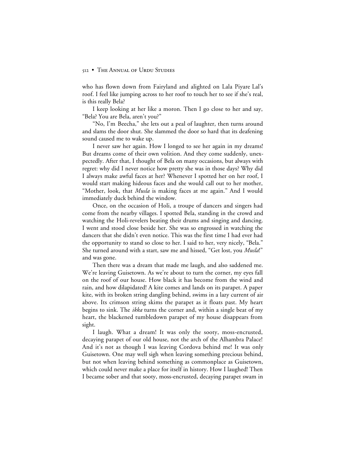who has flown down from Fairyland and alighted on Lala Piyare Lal's roof. I feel like jumping across to her roof to touch her to see if she's real, is this really Bela?

I keep looking at her like a moron. Then I go close to her and say, "Bela? You are Bela, aren't you?"

"No, I'm Beecha," she lets out a peal of laughter, then turns around and slams the door shut. She slammed the door so hard that its deafening sound caused me to wake up.

I never saw her again. How I longed to see her again in my dreams! But dreams come of their own volition. And they come suddenly, unexpectedly. After that, I thought of Bela on many occasions, but always with regret: why did I never notice how pretty she was in those days? Why did I always make awful faces at her? Whenever I spotted her on her roof, I would start making hideous faces and she would call out to her mother, "Mother, look, that *Musla* is making faces at me again." And I would immediately duck behind the window.

Once, on the occasion of Holi, a troupe of dancers and singers had come from the nearby villages. I spotted Bela, standing in the crowd and watching the Holi-revelers beating their drums and singing and dancing. I went and stood close beside her. She was so engrossed in watching the dancers that she didn't even notice. This was the first time I had ever had the opportunity to stand so close to her. I said to her, very nicely, "Bela." She turned around with a start, saw me and hissed, "Get lost, you *Musla*!" and was gone.

Then there was a dream that made me laugh, and also saddened me. We're leaving Guisetown. As we're about to turn the corner, my eyes fall on the roof of our house. How black it has become from the wind and rain, and how dilapidated! A kite comes and lands on its parapet. A paper kite, with its broken string dangling behind, swims in a lazy current of air above. Its crimson string skims the parapet as it floats past. My heart begins to sink. The *ikka* turns the corner and, within a single beat of my heart, the blackened tumbledown parapet of my house disappears from sight.

I laugh. What a dream! It was only the sooty, moss-encrusted, decaying parapet of our old house, not the arch of the Alhambra Palace! And it's not as though I was leaving Cordova behind me! It was only Guisetown. One may well sigh when leaving something precious behind, but not when leaving behind something as commonplace as Guisetown, which could never make a place for itself in history. How I laughed! Then I became sober and that sooty, moss-encrusted, decaying parapet swam in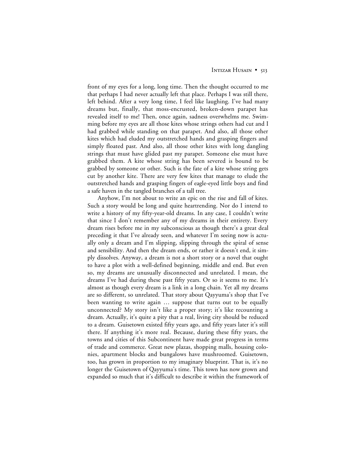front of my eyes for a long, long time. Then the thought occurred to me that perhaps I had never actually left that place. Perhaps I was still there, left behind. After a very long time, I feel like laughing. I've had many dreams but, finally, that moss-encrusted, broken-down parapet has revealed itself to me! Then, once again, sadness overwhelms me. Swimming before my eyes are all those kites whose strings others had cut and I had grabbed while standing on that parapet. And also, all those other kites which had eluded my outstretched hands and grasping fingers and simply floated past. And also, all those other kites with long dangling strings that must have glided past my parapet. Someone else must have grabbed them. A kite whose string has been severed is bound to be grabbed by someone or other. Such is the fate of a kite whose string gets cut by another kite. There are very few kites that manage to elude the outstretched hands and grasping fingers of eagle-eyed little boys and find a safe haven in the tangled branches of a tall tree.

Anyhow, I'm not about to write an epic on the rise and fall of kites. Such a story would be long and quite heartrending. Nor do I intend to write a history of my fifty-year-old dreams. In any case, I couldn't write that since I don't remember any of my dreams in their entirety. Every dream rises before me in my subconscious as though there's a great deal preceding it that I've already seen, and whatever I'm seeing now is actually only a dream and I'm slipping, slipping through the spiral of sense and sensibility. And then the dream ends, or rather it doesn't end, it simply dissolves. Anyway, a dream is not a short story or a novel that ought to have a plot with a well-defined beginning, middle and end. But even so, my dreams are unusually disconnected and unrelated. I mean, the dreams I've had during these past fifty years. Or so it seems to me. It's almost as though every dream is a link in a long chain. Yet all my dreams are so different, so unrelated. That story about Qayyuma's shop that I've been wanting to write again … suppose that turns out to be equally unconnected? My story isn't like a proper story; it's like recounting a dream. Actually, it's quite a pity that a real, living city should be reduced to a dream. Guisetown existed fifty years ago, and fifty years later it's still there. If anything it's more real. Because, during these fifty years, the towns and cities of this Subcontinent have made great progress in terms of trade and commerce. Great new plazas, shopping malls, housing colonies, apartment blocks and bungalows have mushroomed. Guisetown, too, has grown in proportion to my imaginary blueprint. That is, it's no longer the Guisetown of Qayyuma's time. This town has now grown and expanded so much that it's difficult to describe it within the framework of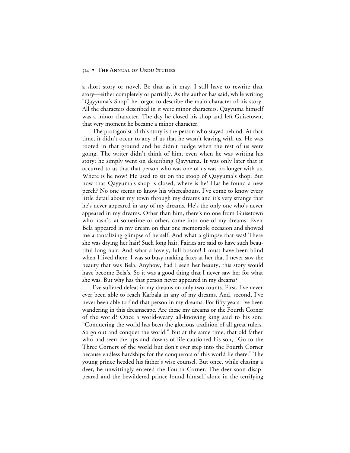a short story or novel. Be that as it may, I still have to rewrite that story—either completely or partially. As the author has said, while writing "Qayyuma's Shop" he forgot to describe the main character of his story. All the characters described in it were minor characters. Qayyuma himself was a minor character. The day he closed his shop and left Guisetown, that very moment he became a minor character.

The protagonist of this story is the person who stayed behind. At that time, it didn't occur to any of us that he wasn't leaving with us. He was rooted in that ground and he didn't budge when the rest of us were going. The writer didn't think of him, even when he was writing his story; he simply went on describing Qayyuma. It was only later that it occurred to us that that person who was one of us was no longer with us. Where is he now? He used to sit on the stoop of Qayyuma's shop. But now that Qayyuma's shop is closed, where is he? Has he found a new perch? No one seems to know his whereabouts. I've come to know every little detail about my town through my dreams and it's very strange that he's never appeared in any of my dreams. He's the only one who's never appeared in my dreams. Other than him, there's no one from Guisetown who hasn't, at sometime or other, come into one of my dreams. Even Bela appeared in my dream on that one memorable occasion and showed me a tantalizing glimpse of herself. And what a glimpse that was! There she was drying her hair! Such long hair! Fairies are said to have such beautiful long hair. And what a lovely, full bosom! I must have been blind when I lived there. I was so busy making faces at her that I never saw the beauty that was Bela. Anyhow, had I seen her beauty, this story would have become Bela's. So it was a good thing that I never saw her for what she was. But why has that person never appeared in my dreams?

I've suffered defeat in my dreams on only two counts. First, I've never ever been able to reach Karbala in any of my dreams. And, second, I've never been able to find that person in my dreams. For fifty years I've been wandering in this dreamscape. Are these my dreams or the Fourth Corner of the world? Once a world-weary all-knowing king said to his son: "Conquering the world has been the glorious tradition of all great rulers. So go out and conquer the world." But at the same time, that old father who had seen the ups and downs of life cautioned his son, "Go to the Three Corners of the world but don't ever step into the Fourth Corner because endless hardships for the conquerors of this world lie there." The young prince heeded his father's wise counsel. But once, while chasing a deer, he unwittingly entered the Fourth Corner. The deer soon disappeared and the bewildered prince found himself alone in the terrifying